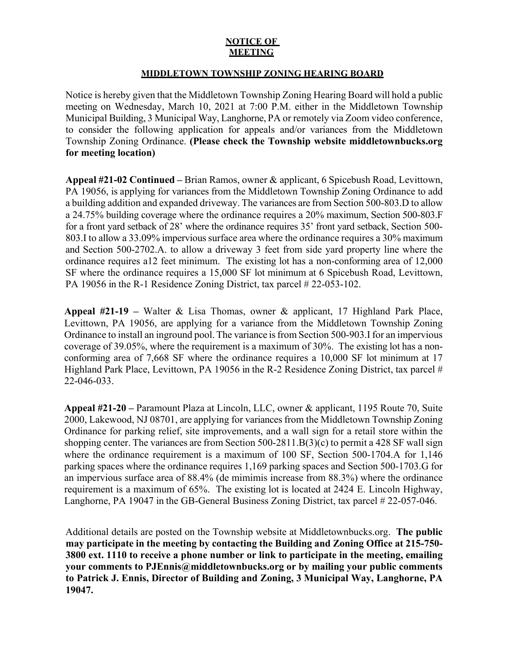## **NOTICE OF MEETING**

## **MIDDLETOWN TOWNSHIP ZONING HEARING BOARD**

Notice is hereby given that the Middletown Township Zoning Hearing Board will hold a public meeting on Wednesday, March 10, 2021 at 7:00 P.M. either in the Middletown Township Municipal Building, 3 Municipal Way, Langhorne, PA or remotely via Zoom video conference, to consider the following application for appeals and/or variances from the Middletown Township Zoning Ordinance. **(Please check the Township website middletownbucks.org for meeting location)** 

**Appeal #21-02 Continued –** Brian Ramos, owner & applicant, 6 Spicebush Road, Levittown, PA 19056, is applying for variances from the Middletown Township Zoning Ordinance to add a building addition and expanded driveway. The variances are from Section 500-803.D to allow a 24.75% building coverage where the ordinance requires a 20% maximum, Section 500-803.F for a front yard setback of 28' where the ordinance requires 35' front yard setback, Section 500- 803.I to allow a 33.09% impervious surface area where the ordinance requires a 30% maximum and Section 500-2702.A. to allow a driveway 3 feet from side yard property line where the ordinance requires a12 feet minimum. The existing lot has a non-conforming area of 12,000 SF where the ordinance requires a 15,000 SF lot minimum at 6 Spicebush Road, Levittown, PA 19056 in the R-1 Residence Zoning District, tax parcel # 22-053-102.

**Appeal #21-19 –** Walter & Lisa Thomas, owner & applicant, 17 Highland Park Place, Levittown, PA 19056, are applying for a variance from the Middletown Township Zoning Ordinance to install an inground pool. The variance is from Section 500-903.I for an impervious coverage of 39.05%, where the requirement is a maximum of 30%. The existing lot has a nonconforming area of 7,668 SF where the ordinance requires a 10,000 SF lot minimum at 17 Highland Park Place, Levittown, PA 19056 in the R-2 Residence Zoning District, tax parcel # 22-046-033.

**Appeal #21-20 –** Paramount Plaza at Lincoln, LLC, owner & applicant, 1195 Route 70, Suite 2000, Lakewood, NJ 08701, are applying for variances from the Middletown Township Zoning Ordinance for parking relief, site improvements, and a wall sign for a retail store within the shopping center. The variances are from Section 500-2811.B(3)(c) to permit a 428 SF wall sign where the ordinance requirement is a maximum of 100 SF, Section 500-1704. A for 1,146 parking spaces where the ordinance requires 1,169 parking spaces and Section 500-1703.G for an impervious surface area of 88.4% (de mimimis increase from 88.3%) where the ordinance requirement is a maximum of 65%. The existing lot is located at 2424 E. Lincoln Highway, Langhorne, PA 19047 in the GB-General Business Zoning District, tax parcel # 22-057-046.

Additional details are posted on the Township website at Middletownbucks.org. **The public may participate in the meeting by contacting the Building and Zoning Office at 215-750- 3800 ext. 1110 to receive a phone number or link to participate in the meeting, emailing your comments to PJEnnis@middletownbucks.org or by mailing your public comments to Patrick J. Ennis, Director of Building and Zoning, 3 Municipal Way, Langhorne, PA 19047.**